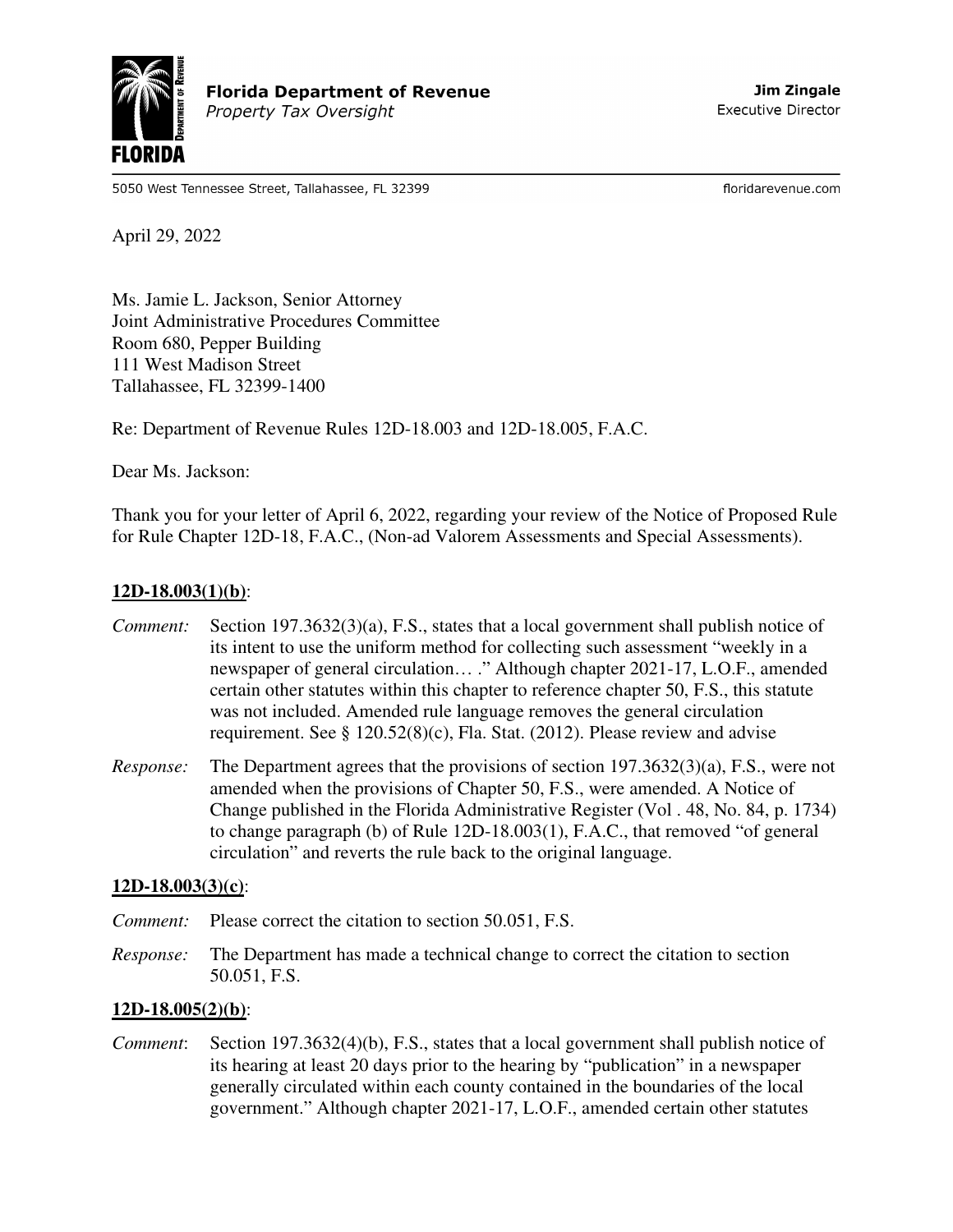

5050 West Tennessee Street, Tallahassee, FL 32399

floridarevenue.com

April 29, 2022

Ms. Jamie L. Jackson, Senior Attorney Joint Administrative Procedures Committee Room 680, Pepper Building 111 West Madison Street Tallahassee, FL 32399-1400

Re: Department of Revenue Rules 12D-18.003 and 12D-18.005, F.A.C.

Dear Ms. Jackson:

Thank you for your letter of April 6, 2022, regarding your review of the Notice of Proposed Rule for Rule Chapter 12D-18, F.A.C., (Non-ad Valorem Assessments and Special Assessments).

## **12D-18.003(1)(b)**:

- *Comment:* Section 197.3632(3)(a), F.S., states that a local government shall publish notice of its intent to use the uniform method for collecting such assessment "weekly in a newspaper of general circulation… ." Although chapter 2021-17, L.O.F., amended certain other statutes within this chapter to reference chapter 50, F.S., this statute was not included. Amended rule language removes the general circulation requirement. See § 120.52(8)(c), Fla. Stat. (2012). Please review and advise
- *Response:* The Department agrees that the provisions of section 197.3632(3)(a), F.S., were not amended when the provisions of Chapter 50, F.S., were amended. A Notice of Change published in the Florida Administrative Register (Vol . 48, No. 84, p. 1734) to change paragraph (b) of Rule 12D-18.003(1), F.A.C., that removed "of general circulation" and reverts the rule back to the original language.

## **12D-18.003(3)(c)**:

- *Comment:* Please correct the citation to section 50.051, F.S.
- *Response:* The Department has made a technical change to correct the citation to section 50.051, F.S.

## **12D-18.005(2)(b)**:

*Comment*: Section 197.3632(4)(b), F.S., states that a local government shall publish notice of its hearing at least 20 days prior to the hearing by "publication" in a newspaper generally circulated within each county contained in the boundaries of the local government." Although chapter 2021-17, L.O.F., amended certain other statutes